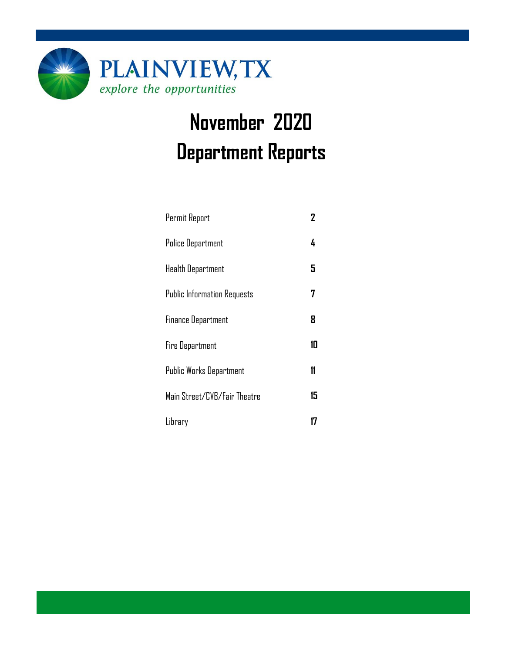

# **November 2020 Department Reports**

| Permit Report                      | 2  |
|------------------------------------|----|
| <b>Police Department</b>           | 4  |
| <b>Health Department</b>           | 5  |
| <b>Public Information Requests</b> | 7  |
| <b>Finance Department</b>          | 8  |
| Fire Department                    | 10 |
| Public Works Department            | 11 |
| Main Street/CVB/Fair Theatre       | 15 |
| Library                            |    |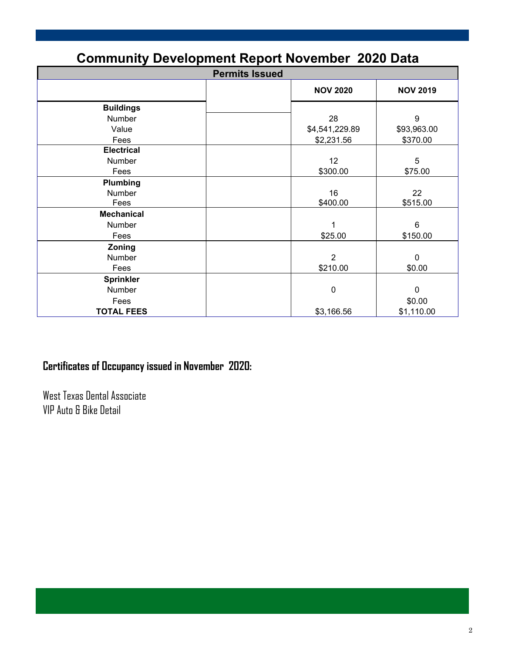| <b>Community Development Report November 2020 Data</b> |                 |                 |  |  |  |  |
|--------------------------------------------------------|-----------------|-----------------|--|--|--|--|
| <b>Permits Issued</b>                                  |                 |                 |  |  |  |  |
|                                                        | <b>NOV 2020</b> | <b>NOV 2019</b> |  |  |  |  |
| <b>Buildings</b>                                       |                 |                 |  |  |  |  |
| Number                                                 | 28              | 9               |  |  |  |  |
| Value                                                  | \$4,541,229.89  | \$93,963.00     |  |  |  |  |
| Fees                                                   | \$2,231.56      | \$370.00        |  |  |  |  |
| <b>Electrical</b>                                      |                 |                 |  |  |  |  |
| Number                                                 | 12              | 5               |  |  |  |  |
| Fees                                                   | \$300.00        | \$75.00         |  |  |  |  |
| Plumbing                                               |                 |                 |  |  |  |  |
| Number                                                 | 16              | 22              |  |  |  |  |
| Fees                                                   | \$400.00        | \$515.00        |  |  |  |  |
| <b>Mechanical</b>                                      |                 |                 |  |  |  |  |
| Number                                                 | 1               | 6               |  |  |  |  |
| Fees                                                   | \$25.00         | \$150.00        |  |  |  |  |
| Zoning                                                 |                 |                 |  |  |  |  |
| Number                                                 | $\overline{2}$  | $\mathbf 0$     |  |  |  |  |
| Fees                                                   | \$210.00        | \$0.00          |  |  |  |  |
| <b>Sprinkler</b>                                       |                 |                 |  |  |  |  |
| Number                                                 | 0               | 0               |  |  |  |  |
| Fees                                                   |                 | \$0.00          |  |  |  |  |
| <b>TOTAL FEES</b>                                      | \$3,166.56      | \$1,110.00      |  |  |  |  |

### **Certificates of Occupancy issued in November 2020:**

West Texas Dental Associate VIP Auto & Bike Detail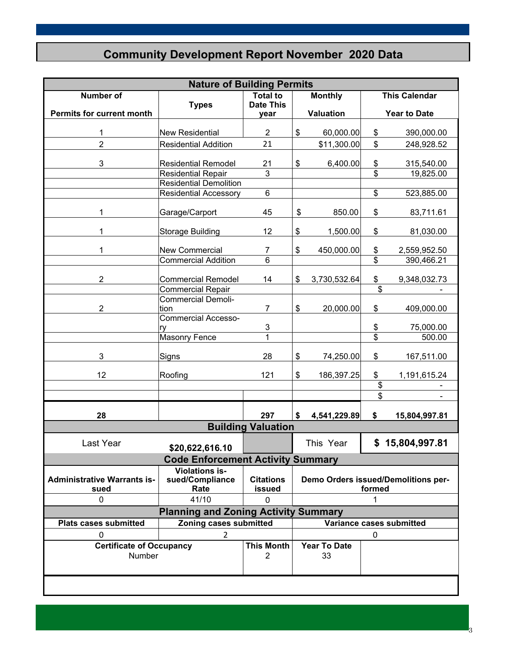### **Community Development Report November 2020 Data**

| <b>Nature of Building Permits</b>                                                  |                                             |                            |                |                           |                          |                                     |  |
|------------------------------------------------------------------------------------|---------------------------------------------|----------------------------|----------------|---------------------------|--------------------------|-------------------------------------|--|
| <b>Number of</b>                                                                   |                                             | <b>Total to</b>            | <b>Monthly</b> |                           | <b>This Calendar</b>     |                                     |  |
|                                                                                    | <b>Types</b>                                | <b>Date This</b>           |                |                           |                          |                                     |  |
| <b>Permits for current month</b>                                                   |                                             | year                       |                | <b>Valuation</b>          |                          | <b>Year to Date</b>                 |  |
| 1                                                                                  | <b>New Residential</b>                      | $\overline{c}$             | \$             | 60,000.00                 | \$                       | 390,000.00                          |  |
| $\overline{2}$                                                                     | <b>Residential Addition</b>                 | 21                         |                | \$11,300.00               | \$                       | 248,928.52                          |  |
|                                                                                    |                                             |                            |                |                           |                          |                                     |  |
| 3                                                                                  | <b>Residential Remodel</b>                  | 21                         | \$             | 6,400.00                  | \$                       | 315,540.00                          |  |
|                                                                                    | <b>Residential Repair</b>                   | 3                          |                |                           | \$                       | 19,825.00                           |  |
|                                                                                    | <b>Residential Demolition</b>               |                            |                |                           |                          |                                     |  |
|                                                                                    | <b>Residential Accessory</b>                | $\,6$                      |                |                           | $\overline{\mathcal{E}}$ | 523,885.00                          |  |
| 1                                                                                  | Garage/Carport                              | 45                         | \$             | 850.00                    | \$                       | 83,711.61                           |  |
| 1                                                                                  | <b>Storage Building</b>                     | 12                         | \$             | 1,500.00                  | \$                       | 81,030.00                           |  |
| 1                                                                                  | <b>New Commercial</b>                       | 7                          | \$             | 450,000.00                | \$                       | 2,559,952.50                        |  |
|                                                                                    | <b>Commercial Addition</b>                  | $6\phantom{1}$             |                |                           | \$                       | 390,466.21                          |  |
|                                                                                    |                                             |                            |                |                           |                          |                                     |  |
| $\overline{2}$                                                                     | <b>Commercial Remodel</b>                   | 14                         | \$             | 3,730,532.64              | \$                       | 9,348,032.73                        |  |
|                                                                                    | <b>Commercial Repair</b>                    |                            |                |                           | \$                       |                                     |  |
| $\overline{2}$                                                                     | <b>Commercial Demoli-</b>                   | 7                          | \$             |                           | \$                       |                                     |  |
|                                                                                    | tion<br><b>Commercial Accesso-</b>          |                            |                | 20,000.00                 |                          | 409,000.00                          |  |
|                                                                                    | ry                                          | $\overline{3}$             |                |                           | \$                       | 75,000.00                           |  |
|                                                                                    | <b>Masonry Fence</b>                        | $\mathbf{1}$               |                |                           | \$                       | 500.00                              |  |
|                                                                                    |                                             |                            |                |                           |                          |                                     |  |
| 3                                                                                  | Signs                                       | 28                         | \$             | 74,250.00                 | \$                       | 167,511.00                          |  |
| 12                                                                                 | Roofing                                     | 121                        | \$             | 186,397.25                | \$                       | 1,191,615.24                        |  |
|                                                                                    |                                             |                            |                |                           | \$                       |                                     |  |
|                                                                                    |                                             |                            |                |                           | \$                       |                                     |  |
| 28                                                                                 |                                             | 297                        | \$             | 4,541,229.89              | \$                       | 15,804,997.81                       |  |
|                                                                                    |                                             | <b>Building Valuation</b>  |                |                           |                          |                                     |  |
| Last Year                                                                          | \$20,622,616.10                             |                            |                | This Year                 |                          | \$15,804,997.81                     |  |
|                                                                                    | <b>Code Enforcement Activity Summary</b>    |                            |                |                           |                          |                                     |  |
| <b>Administrative Warrants is-</b><br>sued                                         | Violations is-<br>sued/Compliance<br>Rate   | <b>Citations</b><br>issued |                |                           | formed                   | Demo Orders issued/Demolitions per- |  |
| $\mathbf{0}$                                                                       | 41/10                                       | $\Omega$                   |                |                           | 1                        |                                     |  |
|                                                                                    | <b>Planning and Zoning Activity Summary</b> |                            |                |                           |                          |                                     |  |
| Zoning cases submitted<br><b>Plats cases submitted</b><br>Variance cases submitted |                                             |                            |                |                           |                          |                                     |  |
| 0                                                                                  | $\overline{2}$                              |                            |                |                           | 0                        |                                     |  |
| <b>This Month</b><br><b>Certificate of Occupancy</b><br>Number                     |                                             |                            |                | <b>Year To Date</b><br>33 |                          |                                     |  |
|                                                                                    |                                             |                            |                |                           |                          |                                     |  |

3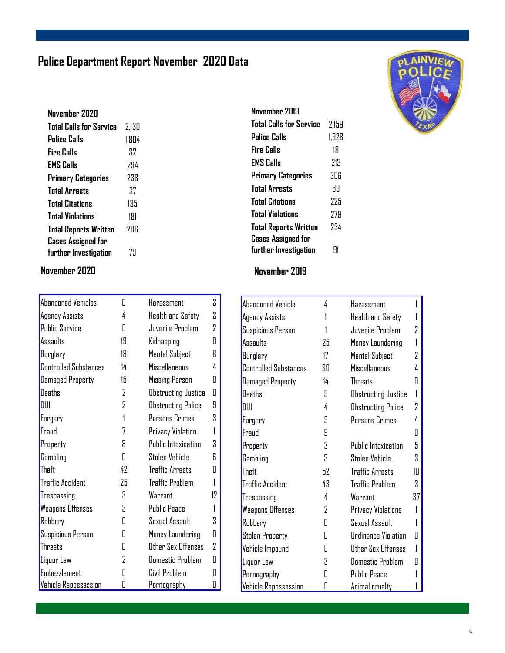### **Police Department Report November 2020 Data**

| November 7070                  |       |
|--------------------------------|-------|
| <b>Total Calls for Service</b> | 2.130 |
| Police Calls                   | 1.804 |
| Fire Calls                     | 37    |
| <b>EMS Calls</b>               | 294   |
| Primary Categories             | 238   |
| <b>Total Arrests</b>           | 37    |
| <b>Total Citations</b>         | 135   |
| <b>Total Violations</b>        | 181   |
| <b>Total Reports Written</b>   | 7NG   |
| <b>Cases Assigned for</b>      |       |
| further Investigation          | 79    |
|                                |       |

#### **November 2020 November 2019**

| Abandoned Vehicles           | Π  | Harassment                 | 3  |
|------------------------------|----|----------------------------|----|
| Agency Assists               | 4  | Health and Safety          | 3  |
| <b>Public Service</b>        | Π  | Juvenile Problem           | 2  |
| Assaults                     | 19 | Kidnapping                 | Π  |
| Burglary                     | 18 | Mental Subject             | 8  |
| <b>Controlled Substances</b> | 14 | Miscellaneous              | 4  |
| <b>Damaged Property</b>      | 15 | Missing Person             | Π  |
| <b>Deaths</b>                | 2  | Obstructing Justice        | Π  |
| DUI                          | 2  | Obstructing Police         | 9  |
| Forgery                      | 1  | Persons Crimes             | 3  |
| Fraud                        | 7  | Privacy Violation          | 1  |
| Property                     | Я  | <b>Public Intoxication</b> | Χ  |
| Gambling                     | Π  | Stolen Vehicle             | R  |
| Theft                        | 42 | <b>Traffic Arrests</b>     | 0  |
| <b>Traffic Accident</b>      | 25 | <b>Traffic Problem</b>     | 1  |
| Trespassing                  | Χ  | Warrant                    | 17 |
| Weapons Offenses             | 3  | <b>Public Peace</b>        | 1  |
| Robbery                      | Π  | Sexual Assault             | 3  |
| Suspicious Person            | П  | Money Laundering           | Π  |
| <b>Threats</b>               | Π  | Other Sex Offenses         | 2  |
| Liquor Law                   | 2  | <b>Domestic Problem</b>    | Π  |
| <b>Embezzlement</b>          | Π  | Civil Problem              | П  |
| <b>Vehicle Repossession</b>  | 0  | <u>Pornography</u>         | 0  |

| November 2019                |       |
|------------------------------|-------|
| Total Calls for Service      | 2.159 |
| Police Calls                 | 1.928 |
| Fire Calls                   | 18    |
| <b>EMS Calls</b>             | 213   |
| <b>Primary Categories</b>    | 306   |
| <b>Total Arrests</b>         | 89    |
| <b>Total Citations</b>       | 775   |
| <b>Total Violations</b>      | 779   |
| <b>Total Reports Written</b> | 734   |
| <b>Cases Assigned for</b>    |       |
| further Investigation        | 91    |

| Abandoned Vehicle            | 4  | Harassment               |                |
|------------------------------|----|--------------------------|----------------|
| Agency Assists               |    | <b>Health and Safety</b> |                |
| Suspicious Person            |    | Juvenile Problem         | 7              |
| Assaults                     | 25 | Money Laundering         |                |
| Burglary                     | 17 | <b>Mental Subject</b>    | 2              |
| <b>Controlled Substances</b> | 30 | <b>Miscellaneous</b>     | 4              |
| Damaged Property             | 14 | <b>Threats</b>           | 0              |
| Deaths                       | 5  | Obstructing Justice      | 1              |
| DUI                          | 4  | Obstructing Police       | $\overline{2}$ |
| Forgery                      | 5  | Persons Crimes           | 4              |
| Fraud                        | 9  |                          | Π              |
| Property                     | 3  | Public Intoxication      | 5              |
| Gambling                     | 3  | Stolen Vehicle           | 3              |
| Theft                        | 52 | <b>Traffic Arrests</b>   | 1П             |
| <b>Traffic Accident</b>      | 43 | <b>Traffic Problem</b>   | 3              |
| Trespassing                  | 4  | Warrant                  | 37             |
| Weapons Offenses             | 2  | Privacy Violations       |                |
| Robbery                      | 0  | Sexual Assault           |                |
| <b>Stolen Property</b>       | Π  | Ordinance Violation      | П              |
| Vehicle Impound              | Π  | Other Sex Offenses       | 1              |
| Liquor Law                   | 3  | <b>Domestic Problem</b>  | Ш              |
| Pornography                  | Π  | <b>Public Peace</b>      |                |
| Vehicle Repossession         | O  | Animal cruelty           |                |

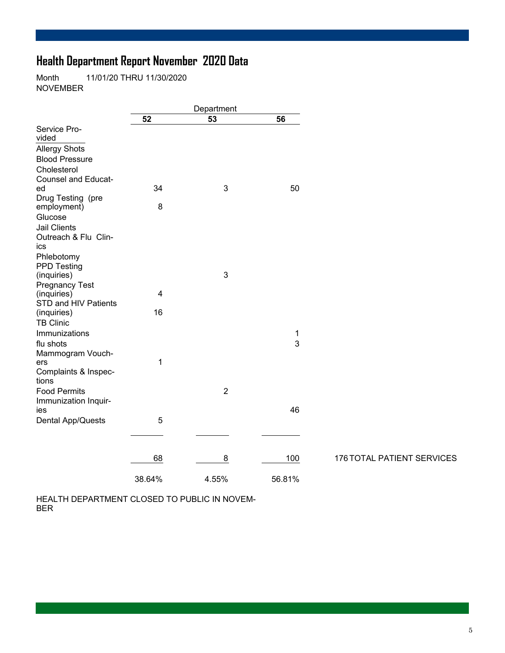### **Health Department Report November 2020 Data**

Month 11/01/20 THRU 11/30/2020 NOVEMBER

|        | Department               |                                                  |                                   |
|--------|--------------------------|--------------------------------------------------|-----------------------------------|
| 52     | 53                       | 56                                               |                                   |
|        |                          |                                                  |                                   |
|        |                          |                                                  |                                   |
|        |                          |                                                  |                                   |
|        |                          |                                                  |                                   |
|        |                          |                                                  |                                   |
|        |                          |                                                  |                                   |
|        |                          |                                                  |                                   |
|        |                          |                                                  |                                   |
|        |                          |                                                  |                                   |
|        |                          |                                                  |                                   |
|        |                          |                                                  |                                   |
|        |                          |                                                  |                                   |
|        |                          |                                                  |                                   |
|        |                          |                                                  |                                   |
|        |                          |                                                  |                                   |
|        |                          |                                                  |                                   |
|        |                          |                                                  |                                   |
|        |                          |                                                  |                                   |
|        |                          |                                                  |                                   |
|        |                          |                                                  |                                   |
|        |                          |                                                  |                                   |
|        |                          | 1                                                |                                   |
|        |                          | 3                                                |                                   |
|        |                          |                                                  |                                   |
| 1      |                          |                                                  |                                   |
|        |                          |                                                  |                                   |
|        |                          |                                                  |                                   |
|        | $\overline{2}$           |                                                  |                                   |
|        |                          |                                                  |                                   |
|        |                          |                                                  |                                   |
| 5      |                          |                                                  |                                   |
|        |                          |                                                  |                                   |
|        |                          |                                                  |                                   |
|        |                          |                                                  |                                   |
|        |                          |                                                  | <b>176 TOTAL PATIENT SERVICES</b> |
| 38.64% | 4.55%                    | 56.81%                                           |                                   |
|        | 34<br>8<br>4<br>16<br>68 | $\ensuremath{\mathsf{3}}$<br>$\mathfrak{B}$<br>8 | 50<br>46<br>100                   |

HEALTH DEPARTMENT CLOSED TO PUBLIC IN NOVEM-BER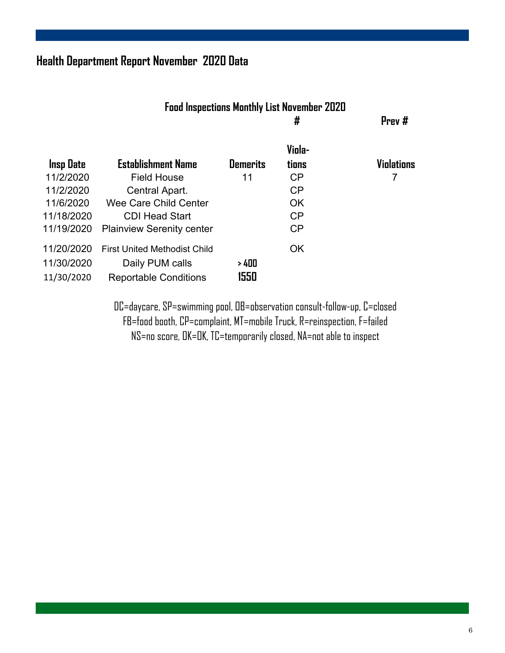### **Health Department Report November 2020 Data**

|                                     | <b>Food Inspections Monthly List November 2020</b><br># |                 |                   |  |  |
|-------------------------------------|---------------------------------------------------------|-----------------|-------------------|--|--|
| <b>Establishment Name</b>           | <b>Demerits</b>                                         | Viola-<br>tions | <b>Violations</b> |  |  |
| <b>Field House</b>                  | 11                                                      | CP              | 7                 |  |  |
| Central Apart.                      |                                                         | CP              |                   |  |  |
| Wee Care Child Center               |                                                         | <b>OK</b>       |                   |  |  |
| <b>CDI Head Start</b>               |                                                         | CP              |                   |  |  |
| <b>Plainview Serenity center</b>    |                                                         | CP              |                   |  |  |
| <b>First United Methodist Child</b> |                                                         | <b>OK</b>       |                   |  |  |
| Daily PUM calls                     | >400                                                    |                 |                   |  |  |
| <b>Reportable Conditions</b>        | 1550                                                    |                 |                   |  |  |
|                                     |                                                         |                 |                   |  |  |

DC=daycare, SP=swimming pool, OB=observation consult-follow-up, C=closed FB=food booth, CP=complaint, MT=mobile Truck, R=reinspection, F=failed NS=no score, OK=OK, TC=temporarily closed, NA=not able to inspect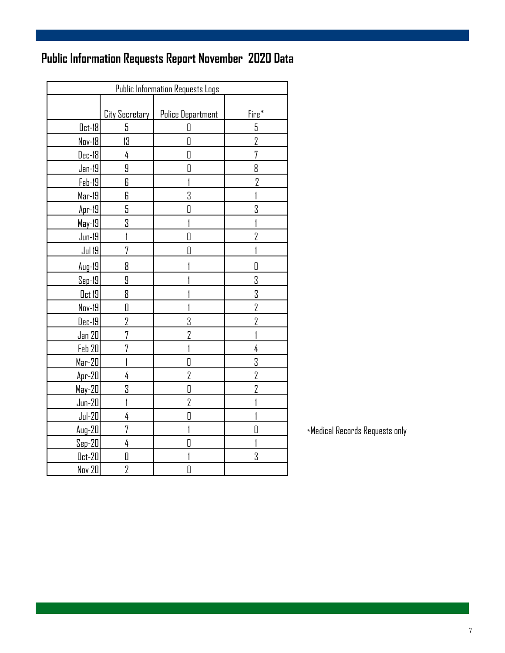## **Public Information Requests Report November 2020 Data**

| <b>Public Information Requests Logs</b> |                       |                          |                |  |  |  |
|-----------------------------------------|-----------------------|--------------------------|----------------|--|--|--|
|                                         |                       |                          |                |  |  |  |
|                                         | <b>City Secretary</b> | <b>Police Department</b> | Fire*          |  |  |  |
| $0ct-18$                                | 5                     | 0                        | 5              |  |  |  |
| Nov-18                                  | 13                    | 0                        | 2              |  |  |  |
| $Dec-18$                                | 4                     | 0                        | 7              |  |  |  |
| $Jan-19$                                | 9                     | 0                        | 8              |  |  |  |
| $Feb-19$                                | 6                     | 1                        | 2              |  |  |  |
| $Mar-19$                                | 6                     | 3                        |                |  |  |  |
| $Apr-19$                                | 5                     | $\Box$                   | 3              |  |  |  |
| May-19                                  | 3                     |                          |                |  |  |  |
| $Jun-19$                                | 1                     | $\overline{\mathbf{u}}$  | 2              |  |  |  |
| <u>Jul 19</u>                           | 7                     | O                        |                |  |  |  |
| $Aug-19$                                | 8                     |                          | 0              |  |  |  |
| <u>Sep-19</u>                           | 9                     |                          | 3              |  |  |  |
| <u>Oct 19</u>                           | 8                     |                          | 3              |  |  |  |
| Nov-19                                  | O                     |                          | $\overline{2}$ |  |  |  |
| $Dec-19$                                | 2                     | 3                        | 2              |  |  |  |
| <u>Jan 20</u>                           | 7                     | 2                        |                |  |  |  |
| Feb 20                                  | 7                     |                          | 4              |  |  |  |
| <u> Mar-20  </u>                        | I                     | $\overline{\mathbf{a}}$  | 3              |  |  |  |
| $Apr-20$                                | 4                     | $\overline{2}$           | $\overline{2}$ |  |  |  |
| May-20                                  | 3                     | 0                        | $\overline{2}$ |  |  |  |
| $Jun-20$                                | I                     | $\overline{2}$           |                |  |  |  |
| $Jul-20$                                | 4                     | O                        |                |  |  |  |
| $Auq-20$                                | 7                     |                          | D              |  |  |  |
| $Sep-20$                                | 4                     | D                        |                |  |  |  |
| $0ct-20$                                | 0                     |                          | 3              |  |  |  |
| Nov 20                                  | 2                     | $\Box$                   |                |  |  |  |

\*Medical Records Requests only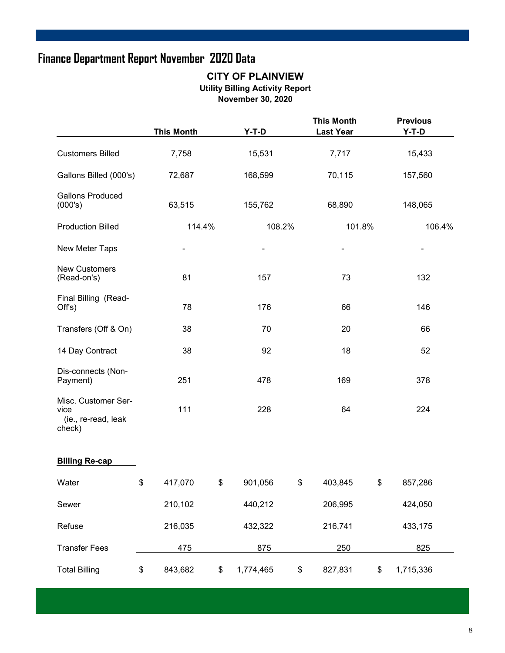### **Finance Department Report November 2020 Data**

#### **CITY OF PLAINVIEW Utility Billing Activity Report November 30, 2020**

|                                                              |    | <b>This Month</b> |     | $Y-T-D$   |       | <b>This Month</b><br><b>Last Year</b> |        | <b>Previous</b><br>$Y-T-D$ |        |
|--------------------------------------------------------------|----|-------------------|-----|-----------|-------|---------------------------------------|--------|----------------------------|--------|
| <b>Customers Billed</b>                                      |    | 15,531<br>7,758   |     |           | 7,717 |                                       | 15,433 |                            |        |
| Gallons Billed (000's)                                       |    | 72,687            |     | 168,599   |       | 70,115                                |        | 157,560                    |        |
| <b>Gallons Produced</b><br>(000's)                           |    | 63,515            |     | 155,762   |       | 68,890                                |        | 148,065                    |        |
| <b>Production Billed</b>                                     |    | 114.4%            |     | 108.2%    |       | 101.8%                                |        |                            | 106.4% |
| New Meter Taps                                               |    |                   |     |           |       |                                       |        |                            |        |
| <b>New Customers</b><br>(Read-on's)                          |    | 81                |     | 157       |       | 73                                    |        | 132                        |        |
| Final Billing (Read-<br>Off's)                               | 78 |                   | 176 |           |       | 66                                    |        | 146                        |        |
| Transfers (Off & On)                                         |    | 38                |     | 70        |       | 20                                    |        | 66                         |        |
| 14 Day Contract                                              |    | 38                |     | 92        |       |                                       | 18     |                            |        |
| Dis-connects (Non-<br>Payment)                               |    | 251               |     | 478       |       | 169                                   |        | 378                        |        |
| Misc. Customer Ser-<br>vice<br>(ie., re-read, leak<br>check) |    | 111               |     | 228       | 64    |                                       | 224    |                            |        |
| <b>Billing Re-cap</b>                                        |    |                   |     |           |       |                                       |        |                            |        |
| Water                                                        | \$ | 417,070           | \$  | 901,056   | \$    | 403,845                               | \$     | 857,286                    |        |
| Sewer                                                        |    | 210,102           |     | 440,212   |       | 206,995                               |        | 424,050                    |        |
| Refuse                                                       |    | 216,035           |     | 432,322   |       | 216,741                               |        | 433,175                    |        |
| <b>Transfer Fees</b>                                         |    | 475               |     | 875       |       | 250                                   |        | 825                        |        |
| <b>Total Billing</b>                                         | \$ | 843,682           | \$  | 1,774,465 | \$    | 827,831                               | \$     | 1,715,336                  |        |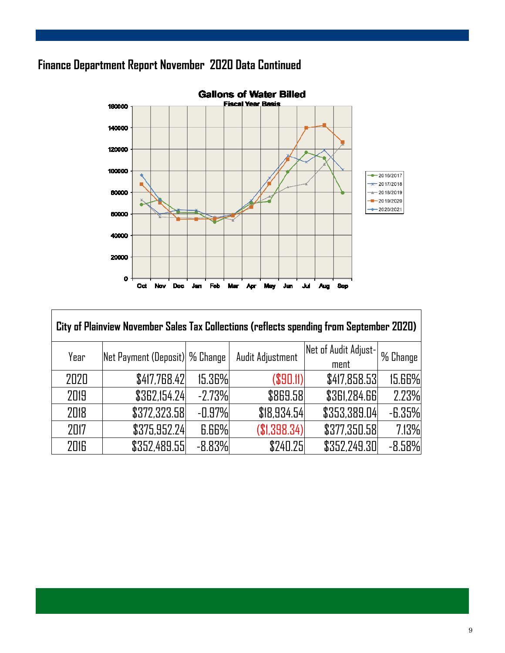### **Finance Department Report November 2020 Data Continued**



| City of Plainview November Sales Tax Collections (reflects spending from September 2020) |                                 |          |                  |                              |           |  |  |  |  |
|------------------------------------------------------------------------------------------|---------------------------------|----------|------------------|------------------------------|-----------|--|--|--|--|
| Year                                                                                     | Net Payment (Deposit)  % Change |          | Audit Adjustment | Net of Audit Adjust-<br>ment | ⊪% Change |  |  |  |  |
| 2020                                                                                     | \$417,768.42                    | 15.36%   | (S90.11)         | \$417,858.53                 | 15.66%    |  |  |  |  |
| 2019                                                                                     | \$362,154.24                    | $-2.73%$ | \$869.58         | <b>\$361,284.66</b>          | 2.23%     |  |  |  |  |
| 2018                                                                                     | \$372,323.58                    | $-0.97%$ | \$18,934.54      | \$353,389.04                 | $-6.35%$  |  |  |  |  |
| 2017                                                                                     | \$375,952.24                    | 6.66%    | \$1,398.34)      | \$377,350.58                 | 7.13%     |  |  |  |  |
| 2016                                                                                     | \$352,489.55                    | $-8.83%$ | \$240.25         | \$352,249.30                 | $-8.58%$  |  |  |  |  |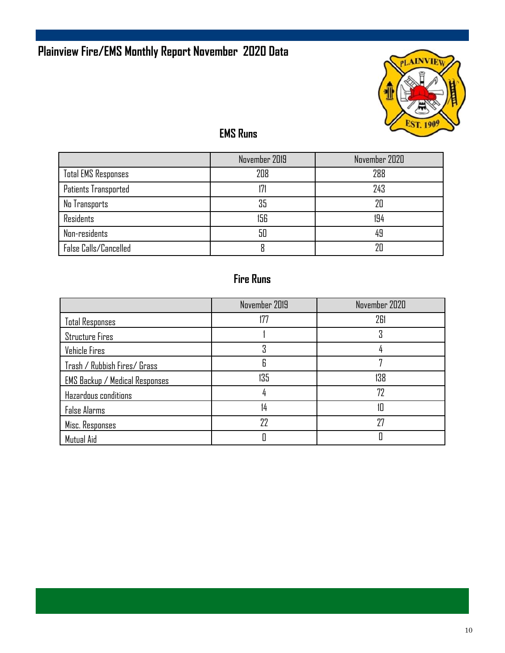## **Plainview Fire/EMS Monthly Report November 2020 Data**



### **EMS Runs**

|                            | November 2019 | November 2020 |
|----------------------------|---------------|---------------|
| <b>Total EMS Responses</b> | 208           | 288           |
| Patients Transported       | 171           | 243           |
| No Transports              | 35            | 20            |
| Residents                  | 156           | 194           |
| Non-residents              | 50            | 49            |
| False Calls/Cancelled      |               | 7Π            |

### **Fire Runs**

|                                       | November 2019 | November 2020 |
|---------------------------------------|---------------|---------------|
| <b>Total Responses</b>                | 177           | 261           |
| <b>Structure Fires</b>                |               | 3             |
| Vehicle Fires                         |               |               |
| Trash / Rubbish Fires/ Grass          | 6             |               |
| <b>EMS Backup / Medical Responses</b> | 135           | 138           |
| Hazardous conditions                  |               | 72            |
| <b>False Alarms</b>                   | 14            | 10            |
| Misc. Responses                       | 22            | 27            |
| Mutual Aid                            |               |               |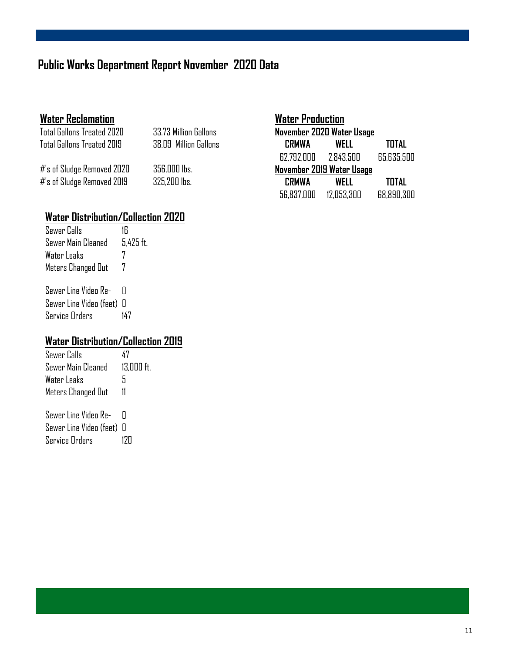### **Public Works Department Report November 2020 Data**

#### **Water Reclamation**

Total Gallons Treated 2020 33.73 Million Gallons Total Gallons Treated 2019 38.09 Million Gallons

#'s of Sludge Removed 2020 356,000 lbs.  $#$ 's of Sludge Removed 2019  $\overline{325,200}$  lbs.

| <b>Water Production</b>   |            |              |  |
|---------------------------|------------|--------------|--|
| November 2020 Water Usage |            |              |  |
| <b>CRMWA</b>              | WELL       | TOTAL        |  |
| 62.792.000 2.843.500      |            | 65,635,500   |  |
| November 2019 Water Usage |            |              |  |
| <b>CRMWA</b>              | WELL       | <b>TOTAL</b> |  |
| 56,837,000                | 12.053.300 | 68.890.300   |  |

#### **Water Distribution/Collection 2020**

| Sewer Calls        | 16          |
|--------------------|-------------|
| Sewer Main Cleaned | $5.425$ ft. |
| Water Leaks        | 7           |
| Meters Changed Out |             |

Sewer Line Video Re- 0 Sewer Line Video (feet) 0 Service Orders 147

#### **Water Distribution/Collection 2019**

Sewer Calls 47 Sewer Main Cleaned 13,000 ft. Water Leaks 5 Meters Changed Out 11 Sewer Line Video Re- 0

Sewer Line Video (feet) 0 Service Orders 120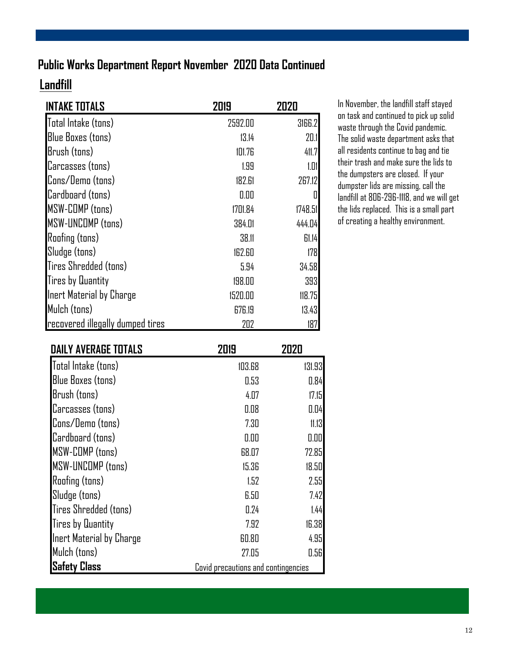### **Public Works Department Report November 2020 Data Continued**

### **Landfill**

| <b>INTAKE TOTALS</b>             | 2019    | 2020    |
|----------------------------------|---------|---------|
| Total Intake (tons)              | 2592.00 | 3166.2  |
| <b>Blue Boxes (tons)</b>         | 13.14   | 20.1    |
| Brush (tons)                     | 101.76  | 411.7   |
| Carcasses (tons)                 | 1.99    | 1.01    |
| Cons/Demo (tons)                 | 182.61  | 267.12  |
| Cardboard (tons)                 | 0.00    | 0       |
| <b>MSW-COMP</b> (tons)           | 1701.84 | 1748.51 |
| <b>MSW-UNCOMP (tons)</b>         | 384.01  | 444.04  |
| <b>Roofing (tons)</b>            | 38.11   | 61.14   |
| Sludge (tons)                    | 162.60  | 178     |
| Tires Shredded (tons)            | 5.94    | 34.58   |
| <b>Tires by Quantity</b>         | 198.00  | 393     |
| Inert Material by Charge         | 1520.00 | 118.75  |
| Mulch (tons)                     | 676.19  | 13.43   |
| recovered illegally dumped tires | 202     | 187     |

In November, the landfill staff stayed on task and continued to pick up solid waste through the Covid pandemic. The solid waste department asks that all residents continue to bag and tie their trash and make sure the lids to the dumpsters are closed. If your dumpster lids are missing, call the landfill at 806-296-1118, and we will get the lids replaced. This is a small part of creating a healthy environment.

| <b>DAILY AVERAGE TOTALS</b> | 2019                                | 2020   |
|-----------------------------|-------------------------------------|--------|
| Total Intake (tons)         | 103.68                              | 131.93 |
| <b>Blue Boxes (tons)</b>    | 0.53                                | 0.84   |
| Brush (tons)                | 4.07                                | 17.15  |
| Carcasses (tons)            | 0.08                                | 0.04   |
| Cons/Demo (tons)            | 7.30                                | 11.13  |
| Cardboard (tons)            | 0.00                                | 0.00   |
| <b>MSW-COMP (tons)</b>      | 68.07                               | 72.85  |
| MSW-UNCOMP (tons)           | 15.36                               | 18.50  |
| <b>Roofing (tons)</b>       | 1.52                                | 2.55   |
| Sludge (tons)               | 6.50                                | 7.42   |
| Tires Shredded (tons)       | 0.24                                | 1.44   |
| <b>Tires by Quantity</b>    | 7.92                                | 16.38  |
| Inert Material by Charge    | 60.80                               | 4.95   |
| Mulch (tons)                | 27.05                               | 0.56   |
| <b>Safety Class</b>         | Covid precautions and contingencies |        |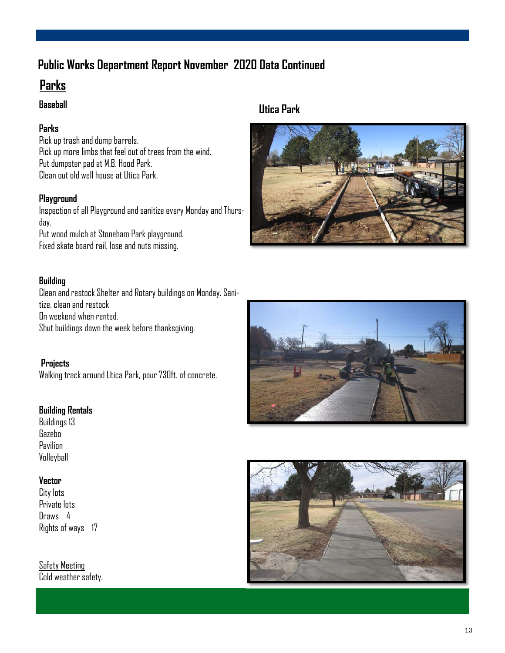### **Public Works Department Report November 2020 Data Continued**

### **Parks**

#### **Baseball**

#### **Parks**

Pick up trash and dump barrels. Pick up more limbs that feel out of trees from the wind. Put dumpster pad at M.B. Hood Park. Clean out old well house at Utica Park.

#### **Playground**

Inspection of all Playground and sanitize every Monday and Thursday. Put wood mulch at Stoneham Park playground. Fixed skate board rail, lose and nuts missing.

#### **Building**

Clean and restock Shelter and Rotary buildings on Monday. Sanitize, clean and restock On weekend when rented. Shut buildings down the week before thanksgiving.

 **Projects**  Walking track around Utica Park, pour 730ft. of concrete.

#### **Building Rentals**

Buildings 13 Gazebo Pavilion Volleyball

#### **Vector**

City lots Private lots Draws 4 Rights of ways 17

Safety Meeting Cold weather safety.







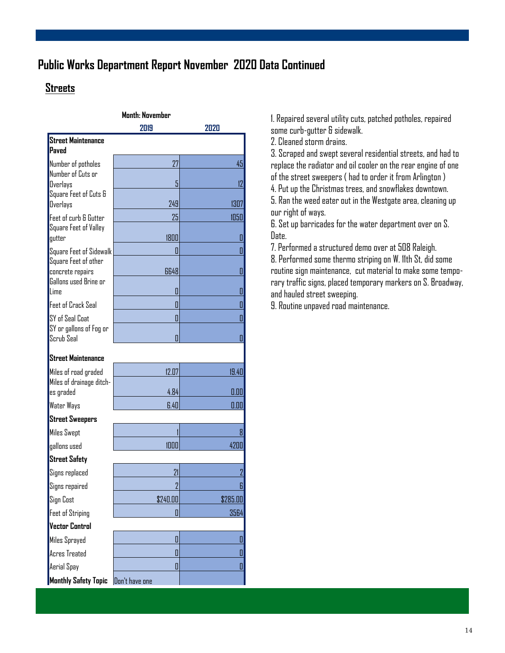### **Public Works Department Report November 2020 Data Continued**

### **Streets**

| <b>Month: November</b>                    |                |                |
|-------------------------------------------|----------------|----------------|
|                                           | 2019           | 2020           |
| <b>Street Maintenance</b><br>Paved        |                |                |
| Number of potholes                        | 27             | 45             |
| Number of Cuts or<br>Overlays             | 5              | 12             |
| Square Feet of Cuts &                     |                |                |
| <b>Overlays</b>                           | 249            | 1307           |
| Feet of curb & Gutter                     | 25             | 1050           |
| Square Feet of Valley<br>gutter           | 1800           | 0              |
| Square Feet of Sidewalk                   | П              | 0              |
| Square Feet of other                      |                |                |
| concrete repairs<br>Gallons used Brine or | 6648           | 0              |
| lime                                      | 0              | 0              |
| Feet of Crack Seal                        | П              | 0              |
| SY of Seal Coat                           | П              | 0              |
| SY or gallons of Fog or                   |                |                |
| Scrub Seal                                | Π              | 0              |
| Street Maintenance                        |                |                |
| Miles of road graded                      | 12.07          | 19.40          |
| Miles of drainage ditch-<br>es graded     | 4.84           | 0.00           |
| Water Ways                                | 6.40           | 0.00           |
| <b>Street Sweepers</b>                    |                |                |
| <b>Miles Swept</b>                        |                | 8              |
| gallons used                              | 1000           | 4200           |
| <b>Street Safety</b>                      |                |                |
| Signs replaced                            | 21             | $\overline{2}$ |
| Signs repaired                            | $\overline{2}$ | 6              |
| Sign Cost                                 | \$240.00       | \$285.00       |
| <b>Feet of Striping</b>                   |                | 3564           |
| <b>Vector Control</b>                     |                |                |
| Miles Sprayed                             | O              | 0              |
| <b>Acres Treated</b>                      | 0              | 0              |
| Aerial Spay                               | 0              | 0              |
| Monthly Safety Topic                      | Don't have one |                |

1. Repaired several utility cuts, patched potholes, repaired some curb-gutter & sidewalk.

2. Cleaned storm drains.

3. Scraped and swept several residential streets, and had to replace the radiator and oil cooler on the rear engine of one of the street sweepers ( had to order it from Arlington )

4. Put up the Christmas trees, and snowflakes downtown.

5. Ran the weed eater out in the Westgate area, cleaning up our right of ways.

6. Set up barricades for the water department over on S. Date.

7. Performed a structured demo over at 508 Raleigh.

8. Performed some thermo striping on W. 11th St, did some routine sign maintenance, cut material to make some temporary traffic signs, placed temporary markers on S. Broadway, and hauled street sweeping.

9. Routine unpaved road maintenance.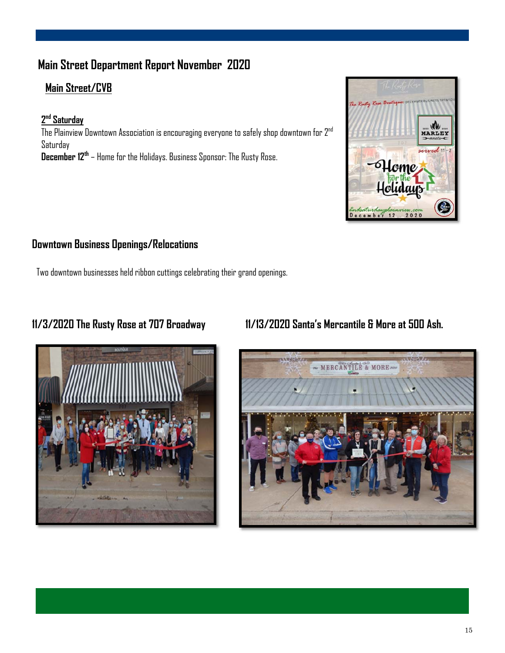### **Main Street Department Report November 2020**

### **Main Street/CVB**

#### **2 nd Saturday**

The Plainview Downtown Association is encouraging everyone to safely shop downtown for  $2^{nd}$ Saturday **December 12th** – Home for the Holidays. Business Sponsor: The Rusty Rose.



#### **Downtown Business Openings/Relocations**

Two downtown businesses held ribbon cuttings celebrating their grand openings.



### **11/3/2020 The Rusty Rose at 707 Broadway 11/13/2020 Santa's Mercantile & More at 500 Ash.**

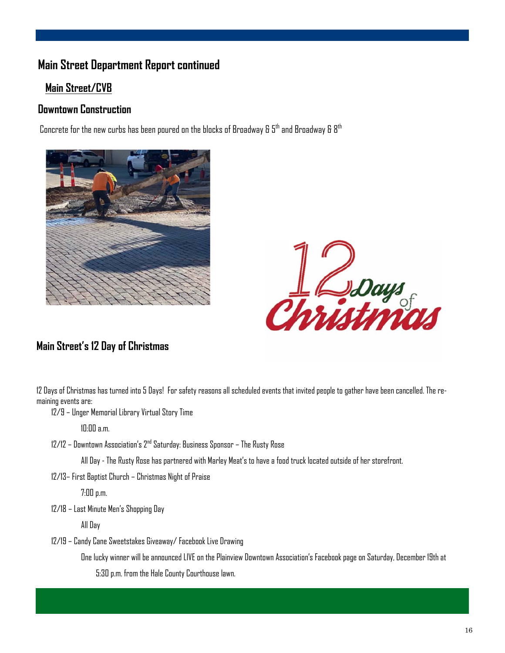### **Main Street Department Report continued**

#### **Main Street/CVB**

#### **Downtown Construction**

Concrete for the new curbs has been poured on the blocks of Broadway &  $5<sup>th</sup>$  and Broadway &  $8<sup>th</sup>$ 





#### **Main Street's 12 Day of Christmas**

12 Days of Christmas has turned into 5 Days! For safety reasons all scheduled events that invited people to gather have been cancelled. The remaining events are:

12/9 – Unger Memorial Library Virtual Story Time

10:00 a.m.

 $12/12$  – Downtown Association's  $2<sup>nd</sup>$  Saturday: Business Sponsor – The Rusty Rose

All Day - The Rusty Rose has partnered with Marley Meat's to have a food truck located outside of her storefront.

12/13– First Baptist Church – Christmas Night of Praise

7:00 p.m.

12/18 – Last Minute Men's Shopping Day

All Day

12/19 – Candy Cane Sweetstakes Giveaway/ Facebook Live Drawing

One lucky winner will be announced LIVE on the Plainview Downtown Association's Facebook page on Saturday, December 19th at 5:30 p.m. from the Hale County Courthouse lawn.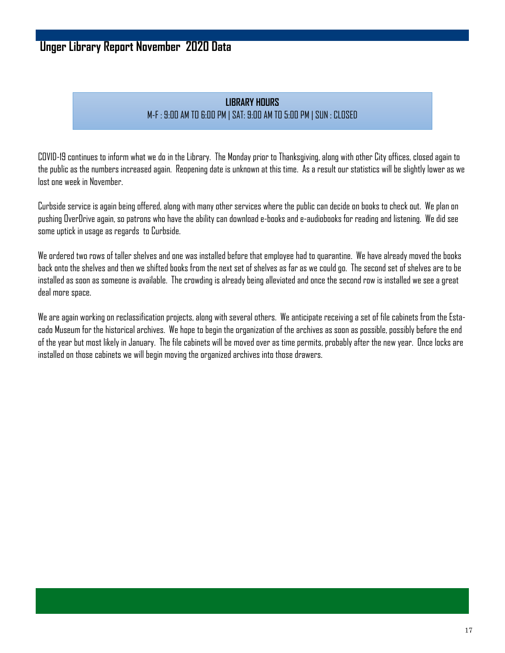### **Unger Library Report November 2020 Data**

#### **LIBRARY HOURS** M-F : 9:00 AM TO 6:00 PM | SAT: 9:00 AM TO 5:00 PM | SUN : CLOSED

COVID-19 continues to inform what we do in the Library. The Monday prior to Thanksgiving, along with other City offices, closed again to the public as the numbers increased again. Reopening date is unknown at this time. As a result our statistics will be slightly lower as we lost one week in November.

Curbside service is again being offered, along with many other services where the public can decide on books to check out. We plan on pushing OverDrive again, so patrons who have the ability can download e-books and e-audiobooks for reading and listening. We did see some uptick in usage as regards to Curbside.

We ordered two rows of taller shelves and one was installed before that employee had to quarantine. We have already moved the books back onto the shelves and then we shifted books from the next set of shelves as far as we could go. The second set of shelves are to be installed as soon as someone is available. The crowding is already being alleviated and once the second row is installed we see a great deal more space.

We are again working on reclassification projects, along with several others. We anticipate receiving a set of file cabinets from the Estacado Museum for the historical archives. We hope to begin the organization of the archives as soon as possible, possibly before the end of the year but most likely in January. The file cabinets will be moved over as time permits, probably after the new year. Once locks are installed on those cabinets we will begin moving the organized archives into those drawers.